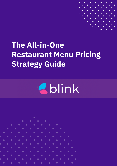

# **The All-in-One Restaurant Menu Pricing Strategy Guide**



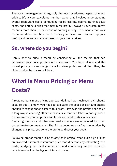Restaurant management is arguably the most overlooked aspect of menu pricing. It's a very calculated number game that involves understanding overall restaurant costs, conducting recipe costing, estimating final plate costs, and setting a price that maximizes profit. However, your restaurant's menu is more than just a means of earning money. This means that your menu will determine how much money you make. You can sum up your profits and potential success based on your menu prices.

### **So, where do you begin?**

Here's how to price a menu by considering all the factors that can determine your price position on a spectrum. You have at one end the lowest price you can charge for a lucrative profit, and at the other, the highest price the market will bear.

# **What is Menu Pricing or Menu Costs?**

A restaurateur's menu pricing approach defines how much each dish should cost. To put it simply, you need to calculate the cost per dish and charge enough to recoup those costs with a profit. However, the profits need to go a long way in covering other expenses, like rent and labor. A poorly priced menu can cost you the profits and funds you need to stay in business. Preparing the dish and other overhead expenses are accounted for when you estimate your menu cost. That figure becomes your final menu price. By charging this price, you generate profits and cover your costs.

Following proper menu pricing strategies is critical when such high stakes are involved. Different restaurants price food differently by calculating food costs, studying the local competition, and conducting market research. Let's take a look at the bigger picture of pricing

BLINK CO **02**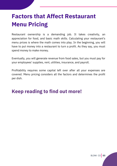## **Factors that Affect Restaurant Menu Pricing**

Restaurant ownership is a demanding job. It takes creativity, an appreciation for food, and basic math skills. Calculating your restaurant's menu prices is where the math comes into play. In the beginning, you will have to put money into a restaurant to turn a profit. As they say, you must spend money to make money.

Eventually, you will generate revenue from food sales, but you must pay for your employees' supplies, rent, utilities, insurance, and payroll.

Profitability requires some capital left over after all your expenses are covered. Menu pricing considers all the factors and determines the profit per dish.

### **Keep reading to find out more!**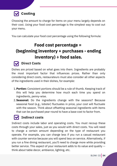![](_page_3_Picture_0.jpeg)

Choosing the amount to charge for items on your menu largely depends on their cost. Using your food cost percentage is the simplest way to cost out your menu.

You can calculate your food cost percentage using the following formula:

### **Food cost percentage = (beginning inventory + purchases - ending inventory) ÷ food sales.**

![](_page_3_Picture_4.jpeg)

#### **Direct Costs**

Dishes are priced based on what goes into them. Ingredients are probably the most important factor that influences prices. Rather than only considering direct costs, restaurateurs must also consider all other aspects of the ingredients used in their dishes, for example:

- **Portion:** Consistent portions should be a rule of thumb. Keeping track of 1. this will help you determine how much each time you spend on ingredients, penny-wise.
- **Seasonal:** Do the ingredients change with the seasons? Because 2. seasonal food (e.g., lobster) fluctuates in price, your cost will fluctuate with the season. Think about offsetting seasonal ingredients with items that can be purchased year-round to have a base cost to factor from.

### **Indirect costs**

Indirect costs include labor and operating costs. You must recoup these costs through your sales, just as you would with direct costs. You will need to charge a certain amount depending on the type of restaurant you operate. For example, you can charge less if you run a casual restaurant with counter service because you will spend less on service. Alternatively, if you run a fine dining restaurant, you'll need to charge more while providing better service. This aspect of your restaurant adds to its value and quality - think about table decor, ambiance, lighting, etc.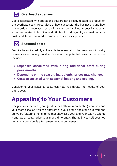### **Overhead expenses**

Costs associated with operations that are not directly related to production are overhead costs. Regardless of how successful the business is and how many orders it receives, costs will always be involved. A cost includes all expenses related to facilities and utilities, including utility and maintenance costs and items unrelated to production, such as supplies.

### **Seasonal costs**

Despite being incredibly vulnerable to seasonality, the restaurant industry remains exceptionally volatile. Some of the potential seasonal expenses include:

- **Expenses associated with hiring additional staff during peak months.**
- **Depending on the season, ingredients' prices may change.**
- **Costs associated with seasonal heating and cooling.**

Considering your seasonal costs can help you thread the needle of your entire cost.

## **Appealing to Your Customers**

Imagine your menu as your greatest hits album, representing what you and your team excel at. You can differentiate your brand and stand out from the crowd by featuring menu items that showcase your and your team's talents - and, as a result, price your menu differently. The ability to sell your top items at a premium is a testament to your uniqueness.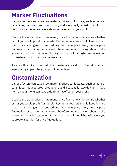## **Market Fluctuations**

Various factors can cause raw material prices to fluctuate, such as natural calamities, reduced crop production, and seasonally slowdowns. A food item on your menu can have a detrimental effect on your profit.

Despite the same price on the menu, price fluctuations determine whether or not you would profit from a sale. Restaurant owners should keep in mind that it is challenging to keep editing the menu price every time a price fluctuation occurs in the market; therefore, menu pricing should take seasonal trends into account. Setting the price a little higher will allow you to create a cushion for price fluctuations.

As a result, a hike in the cost of raw materials or a drop in footfall wouldn't significantly impact the gross profit percentage.

## **Customization**

Various factors can cause raw material prices to fluctuate, such as natural calamities, reduced crop production, and seasonally slowdowns. A food item on your menu can have a detrimental effect on your profit.

Despite the same price on the menu, price fluctuations determine whether or not you would profit from a sale. Restaurant owners should keep in mind that it is challenging to keep editing the menu price every time a price fluctuation occurs in the market; therefore, menu pricing should take seasonal trends into account. Setting the price a little higher will allow you to create a cushion for price fluctuations.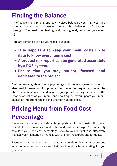## **Finding the Balance**

An effective menu pricing strategy involves balancing your high-cost and low-cost menu items. However, finding this balance won't happen overnight. You need time, testing, and ongoing analyses to get your menu right.

Here are some tips to help you reach your goal:

- **It is important to keep your menu costs up to date to know every item's cost.**
- **A product mix report can be generated accurately by a POS system.**
- **Ensure that you stay patient, focused, and dedicated to the project.**

Besides learning about menu psychology and menu engineering, you will also need to learn how to optimize your menu. Consequently, you will be able to maintain balance and increase your profits. Pricing menu items, the location of dishes on your menu, and how frequently you update your menu all play an important role in achieving that right balance.

## **Pricing Menu from Food Cost Percentage**

Restaurant expenses include a large portion of food costs. It is also essential to continuously monitor the food cost percentage. You can easily calculate your food cost percentage, stick to your budget, and effectively manage your restaurant's finances with the right resources and formulas.

Based on how much food your restaurant spends on inventory, expressed as a percentage, you can see what this inventory is generating for you (revenue).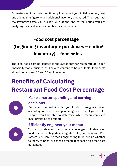Estimate inventory costs over time by figuring out your initial inventory cost and adding that figure to any additional inventory purchased. Then, subtract the inventory costs you are left with at the end of the period you are analyzing. Lastly, divide this number by your revenue.

## **Food cost percentage = (beginning inventory + purchases – ending inventory) ÷ food sales.**

The ideal food cost percentage is the sweet spot for restaurateurs to run financially viable businesses. For a restaurant to be profitable, food costs should be between 28 and 35% of revenue.

# **Benefits of Calculating Restaurant Food Cost Percentage**

![](_page_7_Picture_4.jpeg)

### **Make smarter spending and earning decisions**

Each menu item will fit within your food cost margins if priced according to its food cost percentage and cost of goods sold. In turn, you'll be able to determine which menu items are most profitable to promote.

### **Efficiently engineer your menu:**

![](_page_7_Picture_8.jpeg)

food cost percentage data inte system You can use menu en food cost percentage data integrated into your restaurant POS system. You can use menu engineering to determine whether to retire, re-price, or change a menu item based on a food cost You can update menu items that are no longer profitable using percentage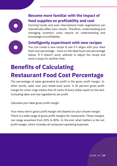![](_page_8_Picture_0.jpeg)

### **Become more familiar with the impact of food supplies on profitability and cost**

Farming trends and even international trade negotiations can dramatically affect your results. Therefore, understanding and managing inventory costs require an understanding and knowledge of profitability.

![](_page_8_Picture_3.jpeg)

#### **Intelligently experiment with new recipes**

You can create a new recipe to see if it aligns with your ideal food cost percentage - more on the ideal food cost percentage below. If it doesn't work, attempt to adjust the recipe and store it away for another time.

# **Benefits of Calculating Restaurant Food Cost Percentage**

The percentage of sales generated by profit is the gross profit margin. In other words, sales over your break-even point. A 25 percent gross profit margin for onion rings means that 25 cents of every dollar spent on the dish (including labor and raw ingredients) are profit.

Calculate your ideal gross profit margin

Your menu item's gross profit margin will depend on your chosen margin. There is a wide range of gross profit margins for restaurants. These margins can range anywhere from 20% to 80%. In the end, what matters is the net profit margin, which includes all restaurant operating expenses.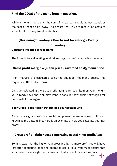#### **Find the COGS of the menu item in question.**

While a menu is more than the sum of its parts, it should at least consider the cost of goods sold (COGS) to ensure that you are recovering costs at some level. The way to calculate this is

### **(Beginning Inventory + Purchased Inventory) - Ending Inventory**

#### **Calculate the price of food items**

The formula for calculating food prices by gross profit margin is as follows:

#### **Gross profit margin = (menu price - raw food cost)/menu price**

Profit margins are calculated using the equation, not menu prices. This requires a little trial and error.

Consider calculating the gross profit margins for each item on your menu if you already have one. You may want to consider new pricing strategies for items with low margins.

#### **Your Gross Profit Margin Determines Your Bottom Line**

A company's gross profit is a crucial component determining net profit, also known as the bottom line. Here is an example of how you calculate your net profit:

#### **Gross profit – (labor cost + operating costs) = net profit/loss**

So, it is clear that the higher your gross profit, the more profit you will have left after deducting labor and operating costs. Thus, you must ensure that your business has high-profit items and that you sell these items only.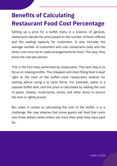## **Benefits of Calculating Restaurant Food Cost Percentage**

Setting up a price for a buffet menu is a science. In general, restaurants decide the price based on the number of items offered and the seating capacity for customers. It also includes the average number of customers who visit restaurants daily and the direct cost incurred to make arrangements for food. This way, they know the cost per person.

This is the first step performed by restaurants. The next step is to focus on making profits. The cheapest and most filling food is kept right at the start of the buffet—most restaurants lookout for costing advice using a la carte items. For example, pasta is a popular buffet dish, and the price is calculated by adding the cost of pasta, cheese, mushrooms, olives, and other items to ensure the item is rightly priced.

But when it comes to calculating the cost of the buffet, it is a challenge. We may observe that some guests eat food that costs two-three dollars while others eat more than what they have paid for.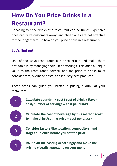## **How Do You Price Drinks in a Restaurant?**

Choosing to price drinks at a restaurant can be tricky. Expensive ones can drive customers away, and cheap ones are not effective for the longer term. So how do you price drinks in a restaurant?

### **Let's find out.**

One of the ways restaurants can price drinks and make them profitable is by managing their list of offerings. This adds a unique value to the restaurant's service, and the price of drinks must consider rent, overhead costs, and industry best practices.

These steps can guide you better in pricing a drink at your restaurant.

![](_page_11_Figure_5.jpeg)

**Calculate your drink cost ( cost of drink + flavor cost/number of servings = cost per drink)**

**Calculate the cost of beverage by this method (cost to make drink/selling price = cost per glass)**

**Consider factors like location, competitors, and target audience before you set the price**

**Round all the costing accordingly and make the pricing visually appealing on your menu.**

BLINK CO **12**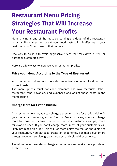# **Restaurant Menu Pricing Strategies That Will Increase Your Restaurant Profits**

Menu pricing is one of the most concerning the detail of the restaurant industry. No matter how great your food tastes, it's ineffective if your customers don't find it worth their money.

One way to do it is to avoid aggressive prices that may drive current or potential customers away.

Here are a few ways to increase your restaurant profits.

#### **Price your Menu According to the Type of Restaurant**

Your restaurant prices must consider important elements like direct and indirect costs.

The menu prices must consider elements like raw materials, labor, restaurant, rent, payables, and expenses and adjust those costs in the menu pricing.

#### **Charge More for Exotic Cuisine**

As a restaurant owner, you can charge a premium price for exotic cuisine. If your restaurant serves gourmet food or French cuisine, you can charge more for those food items. Remember that your customers will pay more for exotic dishes. If you don't charge more, most of your customers will likely not place an order. This will let them enjoy the feel of fine dining at your restaurant. You can also create an experience. For those customers through excellent service, great standards, and splendid experience.

Therefore never hesitate to charge more money and make more profits on exotic dishes.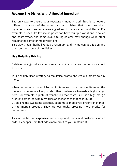#### **Revamp The Dishes With A Special Ingredient**

The only way to ensure your restaurant menu is optimized is to feature different variations of the same dish. Add dishes that have low-priced ingredients and one expensive ingredient to balance and add flavor. For example, dishes like fettuccine pasta can have multiple variations in sauce and pasta types, and some exquisite ingredients may change while other remains the same for most variations.

This way, Italian herbs like basil, rosemary, and thyme can add fusion and bring out the aroma of the dishes.

#### **Use Relative Pricing**

Relative pricing contrasts two items that shift customers' perceptions about a product.

It is a widely used strategy to maximize profits and get customers to buy more.

When restaurants place high-margin items next to expensive items on the menu, customers are likely to shift their preference towards a high-margin item. For example, a plate of french fries that costs \$4.00 is a high-margin product compared with pizza fries or cheese fries that cost \$5.50.

By placing the two items together, customers impulsively order french fries, a high-margin product. They are eventually grossing more profits for restaurants.

This works best on expensive and cheap food items, and customers would order a cheaper item that adds more profit to your restaurant.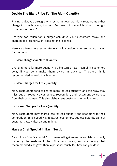#### **Decide The Right Price For The Right Quantity**

Pricing is always a struggle with restaurant owners. Many restaurants either charge too much or way too less. But how to know which price is the right price on your menu?

Charging too much for a burger can drive your customers away, and charging too less for Sushi does not make sense.

Here are a few points restaurateurs should consider when setting up pricing for the menu:

#### **More charges for More Quantity**

Charging more for more quantity is a big turn-off as it can shift customers away if you don't make them aware in advance. Therefore, it is recommended to avoid this blunder.

#### **More Charges for Less Quantity**

Many restaurants tend to charge more for less quantity, and this way, they miss out on repetitive customers, recognition, and restaurant awareness from their customers. This also disheartens customers in the long run.

#### **Lesser Charges for Less Quantity**

Many restaurants may charge less for less quantity and keep up with their competition. It is a good way to attract customers, but less quantity can put customers away after a certain time.

#### **Have a Chef Special in Each Section**

By adding a "chef's special," customers will get an exclusive dish personally made by the restaurant chef. It sounds fancy, and mentioning chef recommended also gives them a personal touch. But how can you do it?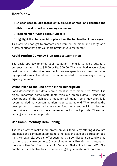#### **Here's how.**

- **In each section, add ingredients, pictures of food, and describe the** 1. **dish to develop curiosity among customers.**
- **Then mention "Chef Special" under it.** 2.

#### **Highlight the chef special or place it on the top to attract more eyes** 3.

This way, you can get to promote each item on the menu and charge at a premium price that gets you more profit for your restaurant.

#### **Avoid Putting Currency Sign Next to Item Price**

The basic strategy to price your restaurant menu is to avoid putting a currency sign next. E.g., \$ 5.00 or Rs. 500.00. This way, budget-conscious customers can determine how much they are spending and may not order high-priced items. Therefore, it is recommended to remove any currency sign on your menu.

#### **Write Price at the End of the Menu Description**

Food descriptions and details are a must in each menu item. While it is highly important, some restaurants miss out on this detail. Mentioning descriptions of the dish are a must for all menu items. However, it is recommended that you can mention the price at the end. When reading the description, customers will crave your food items and will focus less on their price and more on the experience the food will provide. Therefore, helping you make more profits.

#### **Use Complimentary Item Pricing**

The basic way to make more profits on your food is by offering discounts and deals or a complementary item to increase the sale of a particular food item. For example, you can offer customers a 50% discount on sandwiches to purchase any two burgers. Or compliment items like fries and burgers on the menu like fast food chains Mc Donalds, Shake Shack, and KFC. The combo is cost-effective for customers and gets your restaurant more sales.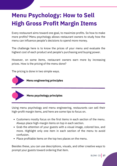## **Menu Psychology: How to Sell High Gross Profit Margin Items**

Every restaurant aims toward one goal, to maximize profits. So how to make more profits? Menu psychology allows restaurant owners to study how the menu can influence people's decisions to spend more money.

The challenge here is to know the prices of your menu and evaluate the highest cost of each product and people's purchasing and buying power.

However, on some items, restaurant owners earn more by increasing prices. How is the pricing of the menu done?

The pricing is done in two simple ways.

![](_page_16_Picture_5.jpeg)

#### **Menu psychology principles**

Using menu psychology and menu engineering, restaurants can sell their high-profit margin items, and here are some tips to focus on.

- Customers mostly focus on the first items in each section of the menu. Always place high-margin items on top in each section.
- Grab the attention of your guests with a visual image, colored box, and more. Highlight only one item in each section of the menu to avoid confusion.
- Place profitable items on the top two places on the menu.

Besides these, you can use descriptions, visuals, and other creative ways to prompt your guests toward ordering that item.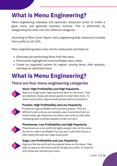## **What is Menu Engineering?**

Menu engineering evaluates and optimizes restaurant prices to create a good menu and generate business revenue. This is performed by categorizing the menu into four different categories.

According to Menu Cover Depot, menu engineering help restaurant increase their profits by 10-15%.

Menu engineering plays a key role for restaurants and helps to:

- Eliminate low-performing items from the menu
- Prominently highlight the most profitable menu items
- Create an organized system for regular running items, their analysis, and keep an optimized menu

## **What is Menu Engineering?**

### **There are four menu engineering categories**

![](_page_17_Picture_9.jpeg)

#### **Stars: High Profitability and High Popularity**

Stars are a high profit, high popularity items on the menu. They are relatively cheap and attract guests to order them more. To make more profits, keep promoting these items consistently.

#### **Puzzles: High Profitability and Low Popularity**

![](_page_17_Picture_13.jpeg)

Puzzles are high profitable items but less popular. They are difficult to sell, and you can develop ways to promote them on social media, get influencers on board, and come up with other marketing ways to attract people to order this item.

#### **Plowhorses: Low Profitability and High Popularity**

![](_page_17_Picture_16.jpeg)

Plowhorses are a low profit but highly popular item on the menu. So how to make it profitable? You can pair it with other items or offer deals that help you make more profit.

![](_page_17_Picture_18.jpeg)

#### **Dogs: Low Profitability and Low Popularity**

Dogs are the low profit and low popular items on the menu. They take up space on the menu and do not get you profits. It is best to omit those and rebrand your menu.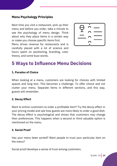#### **Menu Psychology Principles**

Next time you visit a restaurant, pick up their menu and before you order, take a minute to see the psychology of menu design. Think about why they place items in a certain way or make you choose specific items first. Menu drives revenue for restaurants and is

carefully placed with a lot of science and hours spent on positioning, branding, color theory, and some buzz words.

![](_page_18_Figure_3.jpeg)

### **5 Ways to Influence Menu Decisions**

#### **1. Paradox of Choice**

When looking at a menu, customers are looking for choices with limited spaces and long text. This becomes a challenge. To offer choice and not clutter your menu. Separate items in different sections, and this way, guests will remember.

#### **2. Decoy Effect**

Want to entice customers to order a profitable item? Try the decoy effect in your pricing model and see how guests are more likely to order a good dish. The decoy effect is psychological and shows that customers may change their preferences. This happens when a second or third valuable option is mentioned on the menu.

#### **3. Social Proof**

Has your menu been sorted? Want people to trust your particular item on the menu?

Social proof develops a sense of trust among customers.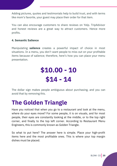Adding pictures, quotes and testimonials help to build trust, and with terms like mom's favorite, your guest may place their order for that item.

You can also encourage customers to share reviews on Yelp. TripAdvisor and honest reviews are a great way to attract customers. Hence more profits.

#### **4. Semantic Salience**

Manipulating **salience** creates a powerful impact of choice in most situations. In a menu, you don't want people to miss out on your profitable items because of salience; therefore, here's how you can place your menu presentation.

# **\$10.00 - 10 \$14 - 14**

The dollar sign makes people ambiguous about purchasing, and you can avoid that by removing this.

## **The Golden Triangle**

Have you noticed that when you go to a restaurant and look at the menu, where do your eyes move? For some people, it is on visuals, and for most people, their eyes are constantly looking at the middle, or to the top right corner, and finally to the top left corner. According to Restaurant Menu Engineers, this is commonly known as Golden Triangle.

So what to put here? The answer here is simple. Place your high-profit items here and the most profitable ones. This is where your top margin dishes must be placed.